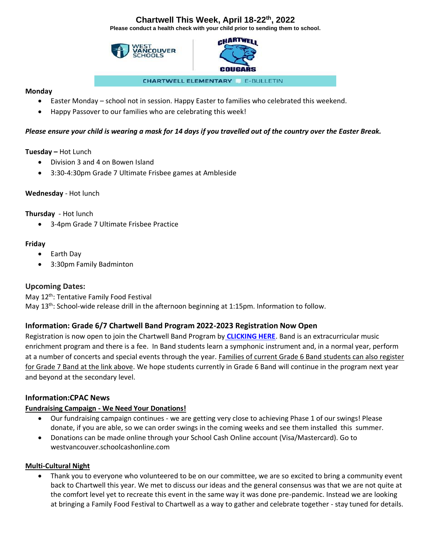# **Chartwell This Week, April 18-22th, 2022**

**Please conduct a health check with your child prior to sending them to school.** 





**CHARTWELL ELEMENTARY & E-BULLETIN** 

#### **Monday**

- Easter Monday school not in session. Happy Easter to families who celebrated this weekend.
- Happy Passover to our families who are celebrating this week!

#### *Please ensure your child is wearing a mask for 14 days if you travelled out of the country over the Easter Break.*

**Tuesday –** Hot Lunch

- Division 3 and 4 on Bowen Island
- 3:30-4:30pm Grade 7 Ultimate Frisbee games at Ambleside

#### **Wednesday** - Hot lunch

**Thursday** - Hot lunch

• 3-4pm Grade 7 Ultimate Frisbee Practice

#### **Friday**

- Earth Day
- 3:30pm Family Badminton

### **Upcoming Dates:**

May 12<sup>th</sup>: Tentative Family Food Festival May 13<sup>th</sup>: School-wide release drill in the afternoon beginning at 1:15pm. Information to follow.

### **Information: Grade 6/7 Chartwell Band Program 2022-2023 Registration Now Open**

Registration is now open to join the Chartwell Band Program by **[CLICKING HERE](https://westvancouverschools.ca/programs/elementary-band.)**. Band is an extracurricular music enrichment program and there is a fee. In Band students learn a symphonic instrument and, in a normal year, perform at a number of concerts and special events through the year. Families of current Grade 6 Band students can also register for Grade 7 Band at the link above. We hope students currently in Grade 6 Band will continue in the program next year and beyond at the secondary level.

#### **Information:CPAC News**

#### **Fundraising Campaign - We Need Your Donations!**

- Our fundraising campaign continues we are getting very close to achieving Phase 1 of our swings! Please donate, if you are able, so we can order swings in the coming weeks and see them installed this summer.
- Donations can be made online through your School Cash Online account (Visa/Mastercard). Go to westvancouver.schoolcashonline.com

#### **Multi-Cultural Night**

• Thank you to everyone who volunteered to be on our committee, we are so excited to bring a community event back to Chartwell this year. We met to discuss our ideas and the general consensus was that we are not quite at the comfort level yet to recreate this event in the same way it was done pre-pandemic. Instead we are looking at bringing a Family Food Festival to Chartwell as a way to gather and celebrate together - stay tuned for details.